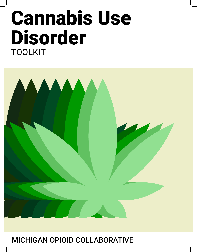# Cannabis Use Disorder TOOLKIT



#### MICHIGAN OPIOID COLLABORATIVE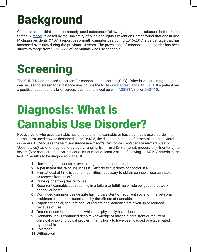#### Background

Cannabis is the third most commonly used substance, following alcohol and tobacco, in the United States. A [report](https://injurycenter.umich.edu/wp-content/uploads/2020/05/2020_IPC_Cannabis_Report.pdf) released by the University of Michigan Injury Prevention Center found that one in nine Michigan residents (11.6%) report past-month cannabis use during 2016-2017, a percentage that has increased over 60% during the previous 14 years. The prevalence of cannabis use disorder has been shown to range from  $9.3\%$  -  $22\%$  of individuals who use cannabis.

#### Screening

The [CUDIT-R](http://www.warecoveryhelpline.org/wp-content/uploads/2018/04/CUDIT.pdf) can be used to screen for cannabis use disorder (CUD). Other brief screening tools that can be used to screen for substance use include the [NIDA quick screen](https://www.drugabuse.gov/sites/default/files/pdf/nmassist.pdf) and [CAGE-AID](https://michiganopioidcollaborative.org/wp-content/uploads/2020/04/CAGE_CAGE_AID_QUESTIONNAIRES.pdf). If a patient has a positive response to a brief screen, it can be followed up with **[ASSIST V3.0](https://michiganopioidcollaborative.org/wp-content/uploads/2020/04/assist_v3_english.pdf)**, or **DAST-10**.

#### Diagnosis: What is Cannabis Use Disorder?

Not everyone who uses cannabis has an addiction to cannabis or has a cannabis use disorder, the formal term used now as described in the DSM-5, the diagnostic manual for mental and behavioral disorders. DSM-5 uses the term *substance use disorder (which has replaced the terms 'abuse' or 'dependence')* as one diagnostic category ranging from mild (2-3 criteria), moderate (4-5 criteria), to severe (6 or more criteria). An individual must meet at least 2 of the following 11 DSM-V criteria in the last 12 months to be diagnosed with CUD.

- 1. Use in larger amounts or over a longer period than intended
- 2. A persistent desire or unsuccessful efforts to cut down or control use
- **3.** A great deal of time is spent in activities necessary to obtain cannabis, use cannabis, or recover from its effects
- 4. Craving, or strong desire to use
- 5. Recurrent cannabis use resulting in a failure to fulfill major role obligations at work, school, or home
- 6. Continued cannabis use despite having persistent or recurrent social or interpersonal problems caused or exacerbated by the effects of cannabis
- 7. Important social, occupational, or recreational activities are given up or reduced because of use
- 8. Recurrent use in situations in which it is physically hazardous
- 9. Cannabis use is continued despite knowledge of having a persistent or recurrent physical or psychological problem that is likely to have been caused or exacerbated by cannabis
- 10.Tolerance
- 11.Withdrawal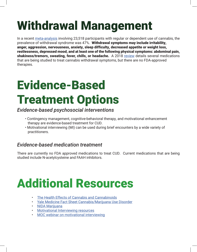### Withdrawal Management

In a recent [meta-analysis](https://jamanetwork.com/journals/jamanetworkopen/fullarticle/2764234) involving 23,518 participants with regular or dependent use of cannabis, the prevalence of withdrawal syndrome was 47%. Withdrawal symptoms may include irritability, anger, aggression, nervousness, anxiety, sleep difficulty, decreased appetite or weight loss, restlessness, depressed mood, and at least one of the following physical symptoms: abdominal pain, shakiness/tremors, sweating, fever, chills, or headache. A 2018 [review](https://www.ncbi.nlm.nih.gov/pmc/articles/PMC5719115/) details several medications that are being studied to treat cannabis withdrawal symptoms, but there are no FDA-approved therapies.

### Evidence-Based Treatment Options

#### *Evidence-based psychosocial interventions*

- Contingency management, cognitive-behavioral therapy, and motivational enhancement therapy are evidence-based treatment for CUD.
- Motivational interviewing (MI) can be used during brief encounters by a wide variety of practitioners.

#### *Evidence-based medication treatment*

There are currently no FDA approved medications to treat CUD. Current medications that are being studied include N-acetylcysteine and FAAH inhibitors.

#### Additional Resources

- **[The Health Effects of Cannabis and Cannabinoids](https://www.nap.edu/catalog/24625/the-health-effects-of-cannabis-and-cannabinoids-the-current-state)**
- [Yale Medicine Fact Sheet Cannabis/Marijuana Use Disorder](https://www.yalemedicine.org/conditions/marijuana-use-disorder)
- [NIDA Marijuana](https://www.drugabuse.gov/drug-topics/marijuana)
- [Motivational Interviewing resources](https://psychwire.com/motivational-interviewing/resources)
- [MOC webinar on motivational interviewing](https://michiganopioidcollaborative.org/videos/Motivational_Interviewing_and_Opioid_Use_for_Prescribers_Webinar.mp4)